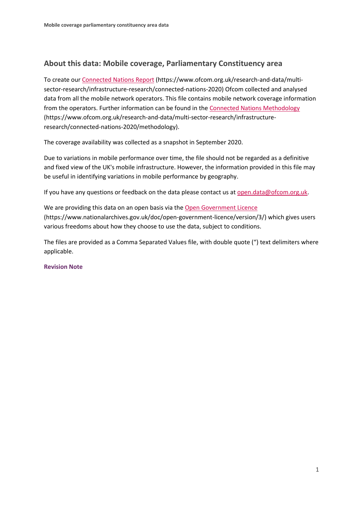# **About this data: Mobile coverage, Parliamentary Constituency area**

To create ou[r Connected Nations Report](https://www.ofcom.org.uk/research-and-data/multi-sector-research/infrastructure-research/connected-nations-2020) (https://www.ofcom.org.uk/research-and-data/multisector-research/infrastructure-research/connected-nations-2020) Ofcom collected and analysed data from all the mobile network operators. This file contains mobile network coverage information from the operators. Further information can be found in th[e Connected Nations Methodology](https://www.ofcom.org.uk/research-and-data/multi-sector-research/infrastructure-research/connected-nations-2020/methodology) (https://www.ofcom.org.uk/research-and-data/multi-sector-research/infrastructureresearch/connected-nations-2020/methodology).

The coverage availability was collected as a snapshot in September 2020.

Due to variations in mobile performance over time, the file should not be regarded as a definitive and fixed view of the UK's mobile infrastructure. However, the information provided in this file may be useful in identifying variations in mobile performance by geography.

If you have any questions or feedback on the data please contact us at [open.data@ofcom.org.uk.](mailto:open.data@ofcom.org.uk)

We are providing this data on an open basis via the [Open Government Licence](https://www.nationalarchives.gov.uk/doc/open-government-licence/version/3/) (https://www.nationalarchives.gov.uk/doc/open-government-licence/version/3/) which gives users various freedoms about how they choose to use the data, subject to conditions.

The files are provided as a Comma Separated Values file, with double quote (") text delimiters where applicable.

#### **Revision Note**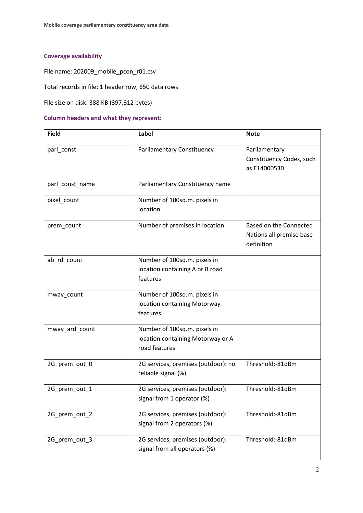## **Coverage availability**

File name: 202009\_mobile\_pcon\_r01.csv

Total records in file: 1 header row, 650 data rows

File size on disk: 388 KB (397,312 bytes)

#### **Column headers and what they represent:**

| <b>Field</b>    | Label                                                                              | <b>Note</b>                                                      |
|-----------------|------------------------------------------------------------------------------------|------------------------------------------------------------------|
| parl_const      | <b>Parliamentary Constituency</b>                                                  | Parliamentary<br>Constituency Codes, such<br>as E14000530        |
| parl_const_name | Parliamentary Constituency name                                                    |                                                                  |
| pixel_count     | Number of 100sq.m. pixels in<br>location                                           |                                                                  |
| prem_count      | Number of premises in location                                                     | Based on the Connected<br>Nations all premise base<br>definition |
| ab_rd_count     | Number of 100sq.m. pixels in<br>location containing A or B road<br>features        |                                                                  |
| mway_count      | Number of 100sq.m. pixels in<br>location containing Motorway<br>features           |                                                                  |
| mway_ard_count  | Number of 100sq.m. pixels in<br>location containing Motorway or A<br>road features |                                                                  |
| 2G_prem_out_0   | 2G services, premises (outdoor): no<br>reliable signal (%)                         | Threshold:-81dBm                                                 |
| 2G prem out 1   | 2G services, premises (outdoor):<br>signal from 1 operator (%)                     | Threshold:-81dBm                                                 |
| 2G_prem_out_2   | 2G services, premises (outdoor):<br>signal from 2 operators (%)                    | Threshold:-81dBm                                                 |
| 2G_prem_out_3   | 2G services, premises (outdoor):<br>signal from all operators (%)                  | Threshold:-81dBm                                                 |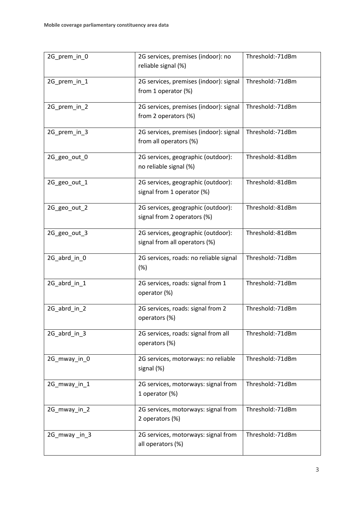| 2G_prem_in_0 | 2G services, premises (indoor): no<br>Threshold:-71dBm<br>reliable signal (%) |                  |
|--------------|-------------------------------------------------------------------------------|------------------|
| 2G_prem_in_1 | 2G services, premises (indoor): signal<br>from 1 operator (%)                 | Threshold:-71dBm |
| 2G_prem_in_2 | 2G services, premises (indoor): signal<br>from 2 operators (%)                | Threshold:-71dBm |
| 2G_prem_in_3 | 2G services, premises (indoor): signal<br>from all operators (%)              | Threshold:-71dBm |
| 2G_geo_out_0 | 2G services, geographic (outdoor):<br>no reliable signal (%)                  | Threshold:-81dBm |
| 2G_geo_out_1 | 2G services, geographic (outdoor):<br>signal from 1 operator (%)              | Threshold:-81dBm |
| 2G_geo_out_2 | 2G services, geographic (outdoor):<br>signal from 2 operators (%)             | Threshold:-81dBm |
| 2G_geo_out_3 | 2G services, geographic (outdoor):<br>signal from all operators (%)           | Threshold:-81dBm |
| 2G_abrd_in_0 | 2G services, roads: no reliable signal<br>(%)                                 | Threshold:-71dBm |
| 2G_abrd_in_1 | 2G services, roads: signal from 1<br>operator (%)                             | Threshold:-71dBm |
| 2G_abrd_in_2 | 2G services, roads: signal from 2<br>operators (%)                            | Threshold:-71dBm |
| 2G_abrd_in_3 | 2G services, roads: signal from all<br>operators (%)                          | Threshold:-71dBm |
| 2G_mway_in_0 | 2G services, motorways: no reliable<br>signal (%)                             | Threshold:-71dBm |
| 2G_mway_in_1 | 2G services, motorways: signal from<br>1 operator (%)                         | Threshold:-71dBm |
| 2G_mway_in_2 | 2G services, motorways: signal from<br>2 operators (%)                        | Threshold:-71dBm |
| 2G_mway_in_3 | 2G services, motorways: signal from<br>all operators (%)                      | Threshold:-71dBm |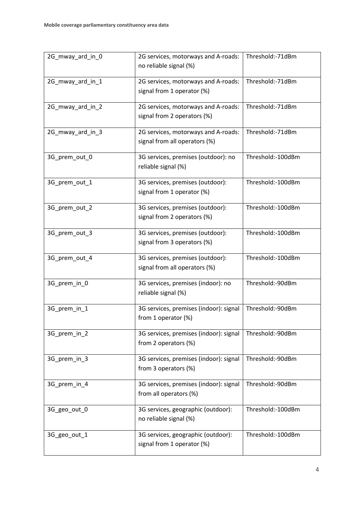| 2G_mway_ard_in_0 | Threshold:-71dBm<br>2G services, motorways and A-roads:<br>no reliable signal (%)     |                   |
|------------------|---------------------------------------------------------------------------------------|-------------------|
| 2G_mway_ard_in_1 | Threshold:-71dBm<br>2G services, motorways and A-roads:<br>signal from 1 operator (%) |                   |
| 2G_mway_ard_in_2 | 2G services, motorways and A-roads:<br>signal from 2 operators (%)                    | Threshold:-71dBm  |
| 2G_mway_ard_in_3 | 2G services, motorways and A-roads:<br>signal from all operators (%)                  | Threshold:-71dBm  |
| 3G_prem_out_0    | 3G services, premises (outdoor): no<br>reliable signal (%)                            | Threshold:-100dBm |
| 3G_prem_out_1    | 3G services, premises (outdoor):<br>signal from 1 operator (%)                        | Threshold:-100dBm |
| 3G_prem_out_2    | 3G services, premises (outdoor):<br>signal from 2 operators (%)                       | Threshold:-100dBm |
| 3G_prem_out_3    | 3G services, premises (outdoor):<br>signal from 3 operators (%)                       | Threshold:-100dBm |
| 3G_prem_out_4    | 3G services, premises (outdoor):<br>signal from all operators (%)                     | Threshold:-100dBm |
| 3G_prem_in_0     | 3G services, premises (indoor): no<br>reliable signal (%)                             | Threshold:-90dBm  |
| 3G_prem_in_1     | 3G services, premises (indoor): signal<br>from 1 operator (%)                         | Threshold:-90dBm  |
| 3G_prem_in_2     | 3G services, premises (indoor): signal<br>from 2 operators (%)                        | Threshold:-90dBm  |
| 3G_prem_in_3     | 3G services, premises (indoor): signal<br>from 3 operators (%)                        | Threshold:-90dBm  |
| 3G_prem_in_4     | 3G services, premises (indoor): signal<br>from all operators (%)                      | Threshold:-90dBm  |
| 3G_geo_out_0     | 3G services, geographic (outdoor):<br>no reliable signal (%)                          | Threshold:-100dBm |
| 3G_geo_out_1     | 3G services, geographic (outdoor):<br>signal from 1 operator (%)                      | Threshold:-100dBm |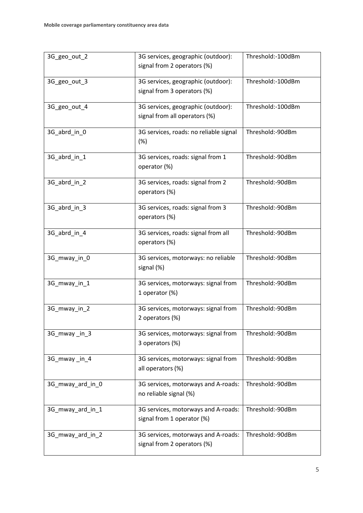| 3G_geo_out_2     | 3G services, geographic (outdoor):<br>signal from 2 operators (%)   | Threshold:-100dBm |
|------------------|---------------------------------------------------------------------|-------------------|
| 3G_geo_out_3     | 3G services, geographic (outdoor):<br>signal from 3 operators (%)   | Threshold:-100dBm |
| 3G_geo_out_4     | 3G services, geographic (outdoor):<br>signal from all operators (%) | Threshold:-100dBm |
| 3G_abrd_in_0     | 3G services, roads: no reliable signal<br>(%)                       | Threshold:-90dBm  |
| 3G_abrd_in_1     | 3G services, roads: signal from 1<br>operator (%)                   | Threshold:-90dBm  |
| 3G_abrd_in_2     | 3G services, roads: signal from 2<br>operators (%)                  | Threshold:-90dBm  |
| 3G_abrd_in_3     | 3G services, roads: signal from 3<br>operators (%)                  | Threshold:-90dBm  |
| 3G_abrd_in_4     | 3G services, roads: signal from all<br>operators (%)                | Threshold:-90dBm  |
| 3G_mway_in_0     | 3G services, motorways: no reliable<br>signal (%)                   | Threshold:-90dBm  |
| 3G_mway_in_1     | 3G services, motorways: signal from<br>1 operator (%)               | Threshold:-90dBm  |
| 3G_mway_in_2     | 3G services, motorways: signal from<br>2 operators (%)              | Threshold:-90dBm  |
| 3G mway in 3     | 3G services, motorways: signal from<br>3 operators (%)              | Threshold:-90dBm  |
| 3G_mway_in_4     | 3G services, motorways: signal from<br>all operators (%)            | Threshold:-90dBm  |
| 3G_mway_ard_in_0 | 3G services, motorways and A-roads:<br>no reliable signal (%)       | Threshold:-90dBm  |
| 3G_mway_ard_in_1 | 3G services, motorways and A-roads:<br>signal from 1 operator (%)   | Threshold:-90dBm  |
| 3G_mway_ard_in_2 | 3G services, motorways and A-roads:<br>signal from 2 operators (%)  | Threshold:-90dBm  |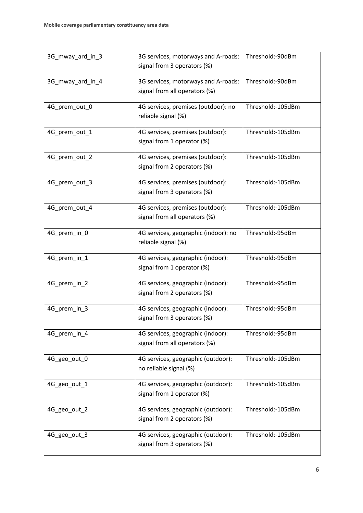| 3G_mway_ard_in_3 | 3G services, motorways and A-roads:<br>signal from 3 operators (%) | Threshold:-90dBm  |
|------------------|--------------------------------------------------------------------|-------------------|
| 3G_mway_ard_in_4 | 3G services, motorways and A-roads:                                | Threshold:-90dBm  |
|                  | signal from all operators (%)                                      |                   |
| 4G_prem_out_0    | 4G services, premises (outdoor): no<br>reliable signal (%)         | Threshold:-105dBm |
| 4G_prem_out_1    | 4G services, premises (outdoor):<br>signal from 1 operator (%)     | Threshold:-105dBm |
| 4G_prem_out_2    | 4G services, premises (outdoor):<br>signal from 2 operators (%)    | Threshold:-105dBm |
| 4G_prem_out_3    | 4G services, premises (outdoor):<br>signal from 3 operators (%)    | Threshold:-105dBm |
| 4G_prem_out_4    | 4G services, premises (outdoor):<br>signal from all operators (%)  | Threshold:-105dBm |
| 4G_prem_in_0     | 4G services, geographic (indoor): no<br>reliable signal (%)        | Threshold:-95dBm  |
| 4G_prem_in_1     | 4G services, geographic (indoor):<br>signal from 1 operator (%)    | Threshold:-95dBm  |
| 4G_prem_in_2     | 4G services, geographic (indoor):<br>signal from 2 operators (%)   | Threshold:-95dBm  |
| 4G_prem_in_3     | 4G services, geographic (indoor):<br>signal from 3 operators (%)   | Threshold:-95dBm  |
| 4G_prem_in_4     | 4G services, geographic (indoor):<br>signal from all operators (%) | Threshold:-95dBm  |
| 4G_geo_out_0     | 4G services, geographic (outdoor):<br>no reliable signal (%)       | Threshold:-105dBm |
| 4G_geo_out_1     | 4G services, geographic (outdoor):<br>signal from 1 operator (%)   | Threshold:-105dBm |
| 4G_geo_out_2     | 4G services, geographic (outdoor):<br>signal from 2 operators (%)  | Threshold:-105dBm |
| 4G_geo_out_3     | 4G services, geographic (outdoor):<br>signal from 3 operators (%)  | Threshold:-105dBm |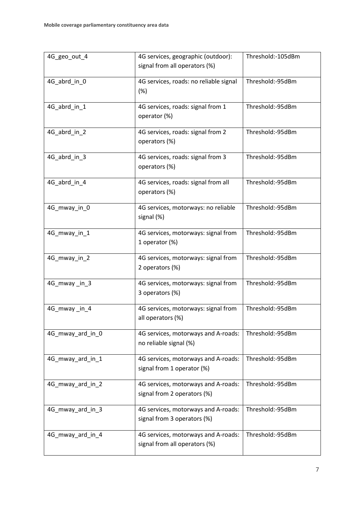| 4G_geo_out_4     | Threshold:-105dBm<br>4G services, geographic (outdoor):<br>signal from all operators (%) |                  |
|------------------|------------------------------------------------------------------------------------------|------------------|
| 4G_abrd_in_0     | 4G services, roads: no reliable signal<br>(%)                                            | Threshold:-95dBm |
| 4G_abrd_in_1     | 4G services, roads: signal from 1<br>operator (%)                                        | Threshold:-95dBm |
| 4G_abrd_in_2     | 4G services, roads: signal from 2<br>operators (%)                                       | Threshold:-95dBm |
| 4G_abrd_in_3     | 4G services, roads: signal from 3<br>operators (%)                                       | Threshold:-95dBm |
| 4G_abrd_in_4     | 4G services, roads: signal from all<br>operators (%)                                     | Threshold:-95dBm |
| 4G_mway_in_0     | 4G services, motorways: no reliable<br>signal (%)                                        | Threshold:-95dBm |
| 4G_mway_in_1     | 4G services, motorways: signal from<br>1 operator (%)                                    | Threshold:-95dBm |
| 4G_mway_in_2     | 4G services, motorways: signal from<br>2 operators (%)                                   | Threshold:-95dBm |
| 4G_mway_in_3     | 4G services, motorways: signal from<br>3 operators (%)                                   | Threshold:-95dBm |
| 4G_mway_in_4     | 4G services, motorways: signal from<br>all operators (%)                                 | Threshold:-95dBm |
| 4G_mway_ard_in_0 | 4G services, motorways and A-roads:<br>no reliable signal (%)                            | Threshold:-95dBm |
| 4G_mway_ard_in_1 | 4G services, motorways and A-roads:<br>signal from 1 operator (%)                        | Threshold:-95dBm |
| 4G_mway_ard_in_2 | 4G services, motorways and A-roads:<br>signal from 2 operators (%)                       | Threshold:-95dBm |
| 4G_mway_ard_in_3 | 4G services, motorways and A-roads:<br>signal from 3 operators (%)                       | Threshold:-95dBm |
| 4G_mway_ard_in_4 | 4G services, motorways and A-roads:<br>signal from all operators (%)                     | Threshold:-95dBm |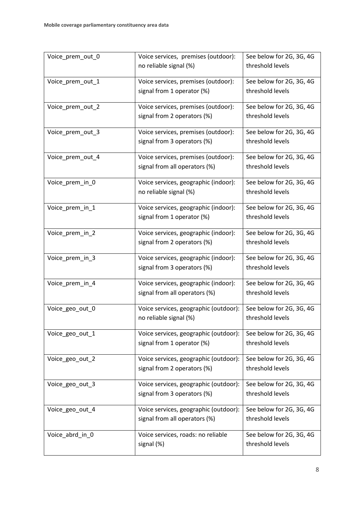| Voice_prem_out_0 | Voice services, premises (outdoor):        | See below for 2G, 3G, 4G |
|------------------|--------------------------------------------|--------------------------|
|                  | threshold levels<br>no reliable signal (%) |                          |
| Voice_prem_out_1 | Voice services, premises (outdoor):        | See below for 2G, 3G, 4G |
|                  | signal from 1 operator (%)                 | threshold levels         |
| Voice_prem_out_2 | Voice services, premises (outdoor):        | See below for 2G, 3G, 4G |
|                  | signal from 2 operators (%)                | threshold levels         |
| Voice prem out 3 | Voice services, premises (outdoor):        | See below for 2G, 3G, 4G |
|                  | signal from 3 operators (%)                | threshold levels         |
| Voice_prem_out_4 | Voice services, premises (outdoor):        | See below for 2G, 3G, 4G |
|                  | signal from all operators (%)              | threshold levels         |
| Voice_prem_in_0  | Voice services, geographic (indoor):       | See below for 2G, 3G, 4G |
|                  | no reliable signal (%)                     | threshold levels         |
| Voice_prem_in_1  | Voice services, geographic (indoor):       | See below for 2G, 3G, 4G |
|                  | signal from 1 operator (%)                 | threshold levels         |
| Voice_prem_in_2  | Voice services, geographic (indoor):       | See below for 2G, 3G, 4G |
|                  | signal from 2 operators (%)                | threshold levels         |
| Voice_prem_in_3  | Voice services, geographic (indoor):       | See below for 2G, 3G, 4G |
|                  | signal from 3 operators (%)                | threshold levels         |
| Voice_prem_in_4  | Voice services, geographic (indoor):       | See below for 2G, 3G, 4G |
|                  | signal from all operators (%)              | threshold levels         |
| Voice_geo_out_0  | Voice services, geographic (outdoor):      | See below for 2G, 3G, 4G |
|                  | no reliable signal (%)                     | threshold levels         |
| Voice_geo_out_1  | Voice services, geographic (outdoor):      | See below for 2G, 3G, 4G |
|                  | signal from 1 operator (%)                 | threshold levels         |
| Voice_geo_out_2  | Voice services, geographic (outdoor):      | See below for 2G, 3G, 4G |
|                  | signal from 2 operators (%)                | threshold levels         |
| Voice_geo_out_3  | Voice services, geographic (outdoor):      | See below for 2G, 3G, 4G |
|                  | signal from 3 operators (%)                | threshold levels         |
| Voice_geo_out_4  | Voice services, geographic (outdoor):      | See below for 2G, 3G, 4G |
|                  | signal from all operators (%)              | threshold levels         |
| Voice_abrd_in_0  | Voice services, roads: no reliable         | See below for 2G, 3G, 4G |
|                  | signal (%)                                 | threshold levels         |
|                  |                                            |                          |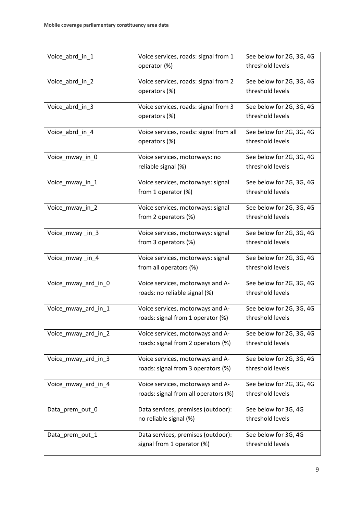| threshold levels<br>operator (%)<br>See below for 2G, 3G, 4G<br>Voice_abrd_in_2<br>Voice services, roads: signal from 2<br>threshold levels<br>operators (%)<br>Voice services, roads: signal from 3<br>See below for 2G, 3G, 4G<br>Voice_abrd_in_3<br>threshold levels<br>operators (%)<br>See below for 2G, 3G, 4G<br>Voice_abrd_in_4<br>Voice services, roads: signal from all<br>threshold levels<br>operators (%)<br>See below for 2G, 3G, 4G<br>Voice_mway_in_0<br>Voice services, motorways: no<br>threshold levels<br>reliable signal (%)<br>Voice services, motorways: signal<br>See below for 2G, 3G, 4G<br>Voice_mway_in_1<br>threshold levels<br>from 1 operator (%)<br>Voice_mway_in_2<br>Voice services, motorways: signal<br>See below for 2G, 3G, 4G<br>threshold levels<br>from 2 operators (%)<br>Voice services, motorways: signal<br>See below for 2G, 3G, 4G<br>Voice_mway_in_3<br>threshold levels<br>from 3 operators (%) |
|--------------------------------------------------------------------------------------------------------------------------------------------------------------------------------------------------------------------------------------------------------------------------------------------------------------------------------------------------------------------------------------------------------------------------------------------------------------------------------------------------------------------------------------------------------------------------------------------------------------------------------------------------------------------------------------------------------------------------------------------------------------------------------------------------------------------------------------------------------------------------------------------------------------------------------------------------|
|                                                                                                                                                                                                                                                                                                                                                                                                                                                                                                                                                                                                                                                                                                                                                                                                                                                                                                                                                  |
|                                                                                                                                                                                                                                                                                                                                                                                                                                                                                                                                                                                                                                                                                                                                                                                                                                                                                                                                                  |
|                                                                                                                                                                                                                                                                                                                                                                                                                                                                                                                                                                                                                                                                                                                                                                                                                                                                                                                                                  |
|                                                                                                                                                                                                                                                                                                                                                                                                                                                                                                                                                                                                                                                                                                                                                                                                                                                                                                                                                  |
|                                                                                                                                                                                                                                                                                                                                                                                                                                                                                                                                                                                                                                                                                                                                                                                                                                                                                                                                                  |
|                                                                                                                                                                                                                                                                                                                                                                                                                                                                                                                                                                                                                                                                                                                                                                                                                                                                                                                                                  |
|                                                                                                                                                                                                                                                                                                                                                                                                                                                                                                                                                                                                                                                                                                                                                                                                                                                                                                                                                  |
|                                                                                                                                                                                                                                                                                                                                                                                                                                                                                                                                                                                                                                                                                                                                                                                                                                                                                                                                                  |
|                                                                                                                                                                                                                                                                                                                                                                                                                                                                                                                                                                                                                                                                                                                                                                                                                                                                                                                                                  |
|                                                                                                                                                                                                                                                                                                                                                                                                                                                                                                                                                                                                                                                                                                                                                                                                                                                                                                                                                  |
|                                                                                                                                                                                                                                                                                                                                                                                                                                                                                                                                                                                                                                                                                                                                                                                                                                                                                                                                                  |
|                                                                                                                                                                                                                                                                                                                                                                                                                                                                                                                                                                                                                                                                                                                                                                                                                                                                                                                                                  |
|                                                                                                                                                                                                                                                                                                                                                                                                                                                                                                                                                                                                                                                                                                                                                                                                                                                                                                                                                  |
|                                                                                                                                                                                                                                                                                                                                                                                                                                                                                                                                                                                                                                                                                                                                                                                                                                                                                                                                                  |
|                                                                                                                                                                                                                                                                                                                                                                                                                                                                                                                                                                                                                                                                                                                                                                                                                                                                                                                                                  |
| Voice services, motorways: signal<br>See below for 2G, 3G, 4G<br>Voice_mway_in_4                                                                                                                                                                                                                                                                                                                                                                                                                                                                                                                                                                                                                                                                                                                                                                                                                                                                 |
| threshold levels<br>from all operators (%)                                                                                                                                                                                                                                                                                                                                                                                                                                                                                                                                                                                                                                                                                                                                                                                                                                                                                                       |
| See below for 2G, 3G, 4G<br>Voice services, motorways and A-<br>Voice_mway_ard_in_0                                                                                                                                                                                                                                                                                                                                                                                                                                                                                                                                                                                                                                                                                                                                                                                                                                                              |
| threshold levels<br>roads: no reliable signal (%)                                                                                                                                                                                                                                                                                                                                                                                                                                                                                                                                                                                                                                                                                                                                                                                                                                                                                                |
| Voice services, motorways and A-<br>See below for 2G, 3G, 4G<br>Voice_mway_ard_in_1                                                                                                                                                                                                                                                                                                                                                                                                                                                                                                                                                                                                                                                                                                                                                                                                                                                              |
| roads: signal from 1 operator (%)<br>threshold levels                                                                                                                                                                                                                                                                                                                                                                                                                                                                                                                                                                                                                                                                                                                                                                                                                                                                                            |
| See below for 2G, 3G, 4G<br>Voice services, motorways and A-<br>Voice_mway_ard_in_2                                                                                                                                                                                                                                                                                                                                                                                                                                                                                                                                                                                                                                                                                                                                                                                                                                                              |
| threshold levels<br>roads: signal from 2 operators (%)                                                                                                                                                                                                                                                                                                                                                                                                                                                                                                                                                                                                                                                                                                                                                                                                                                                                                           |
| Voice services, motorways and A-<br>See below for 2G, 3G, 4G<br>Voice_mway_ard_in_3                                                                                                                                                                                                                                                                                                                                                                                                                                                                                                                                                                                                                                                                                                                                                                                                                                                              |
| threshold levels<br>roads: signal from 3 operators (%)                                                                                                                                                                                                                                                                                                                                                                                                                                                                                                                                                                                                                                                                                                                                                                                                                                                                                           |
| See below for 2G, 3G, 4G<br>Voice services, motorways and A-<br>Voice_mway_ard_in_4                                                                                                                                                                                                                                                                                                                                                                                                                                                                                                                                                                                                                                                                                                                                                                                                                                                              |
| threshold levels<br>roads: signal from all operators (%)                                                                                                                                                                                                                                                                                                                                                                                                                                                                                                                                                                                                                                                                                                                                                                                                                                                                                         |
| Data services, premises (outdoor):<br>See below for 3G, 4G<br>Data_prem_out_0                                                                                                                                                                                                                                                                                                                                                                                                                                                                                                                                                                                                                                                                                                                                                                                                                                                                    |
| threshold levels<br>no reliable signal (%)                                                                                                                                                                                                                                                                                                                                                                                                                                                                                                                                                                                                                                                                                                                                                                                                                                                                                                       |
| Data services, premises (outdoor):<br>See below for 3G, 4G<br>Data_prem_out_1                                                                                                                                                                                                                                                                                                                                                                                                                                                                                                                                                                                                                                                                                                                                                                                                                                                                    |
| signal from 1 operator (%)<br>threshold levels                                                                                                                                                                                                                                                                                                                                                                                                                                                                                                                                                                                                                                                                                                                                                                                                                                                                                                   |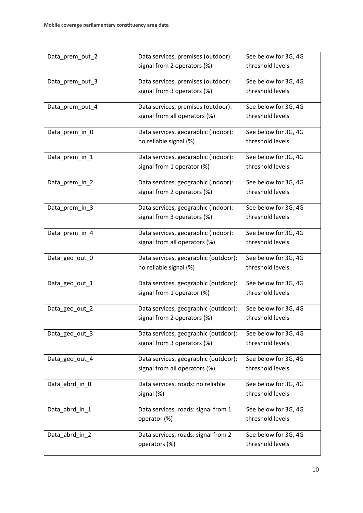| Data_prem_out_2 | Data services, premises (outdoor):   | See below for 3G, 4G |
|-----------------|--------------------------------------|----------------------|
|                 | signal from 2 operators (%)          | threshold levels     |
| Data_prem_out_3 | Data services, premises (outdoor):   | See below for 3G, 4G |
|                 | signal from 3 operators (%)          | threshold levels     |
| Data_prem_out_4 | Data services, premises (outdoor):   | See below for 3G, 4G |
|                 | signal from all operators (%)        | threshold levels     |
| Data_prem_in_0  | Data services, geographic (indoor):  | See below for 3G, 4G |
|                 | no reliable signal (%)               | threshold levels     |
| Data_prem_in_1  | Data services, geographic (indoor):  | See below for 3G, 4G |
|                 | signal from 1 operator (%)           | threshold levels     |
| Data_prem_in_2  | Data services, geographic (indoor):  | See below for 3G, 4G |
|                 | signal from 2 operators (%)          | threshold levels     |
| Data_prem_in_3  | Data services, geographic (indoor):  | See below for 3G, 4G |
|                 | signal from 3 operators (%)          | threshold levels     |
| Data_prem_in_4  | Data services, geographic (indoor):  | See below for 3G, 4G |
|                 | signal from all operators (%)        | threshold levels     |
| Data_geo_out_0  | Data services, geographic (outdoor): | See below for 3G, 4G |
|                 | no reliable signal (%)               | threshold levels     |
| Data_geo_out_1  | Data services, geographic (outdoor): | See below for 3G, 4G |
|                 | signal from 1 operator (%)           | threshold levels     |
| Data_geo_out_2  | Data services, geographic (outdoor): | See below for 3G, 4G |
|                 | signal from 2 operators (%)          | threshold levels     |
| Data_geo_out_3  | Data services, geographic (outdoor): | See below for 3G, 4G |
|                 | signal from 3 operators (%)          | threshold levels     |
| Data_geo_out_4  | Data services, geographic (outdoor): | See below for 3G, 4G |
|                 | signal from all operators (%)        | threshold levels     |
| Data_abrd_in_0  | Data services, roads: no reliable    | See below for 3G, 4G |
|                 | signal (%)                           | threshold levels     |
| Data_abrd_in_1  | Data services, roads: signal from 1  | See below for 3G, 4G |
|                 | operator (%)                         | threshold levels     |
| Data_abrd_in_2  | Data services, roads: signal from 2  | See below for 3G, 4G |
|                 | operators (%)                        | threshold levels     |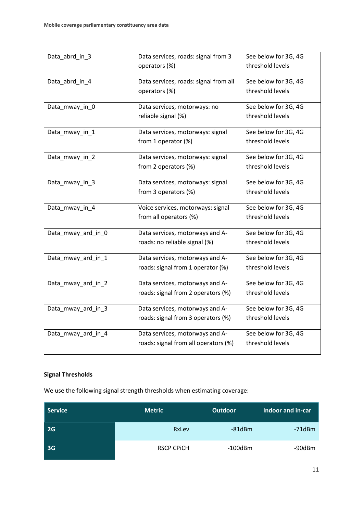| Data_abrd_in_3     | Data services, roads: signal from 3   | See below for 3G, 4G |
|--------------------|---------------------------------------|----------------------|
|                    | operators (%)                         | threshold levels     |
| Data_abrd_in_4     | Data services, roads: signal from all | See below for 3G, 4G |
|                    | operators (%)                         | threshold levels     |
| Data_mway_in_0     | Data services, motorways: no          | See below for 3G, 4G |
|                    | reliable signal (%)                   | threshold levels     |
| Data_mway_in_1     | Data services, motorways: signal      | See below for 3G, 4G |
|                    | from 1 operator (%)                   | threshold levels     |
| Data_mway_in_2     | Data services, motorways: signal      | See below for 3G, 4G |
|                    | from 2 operators (%)                  | threshold levels     |
| Data_mway_in_3     | Data services, motorways: signal      | See below for 3G, 4G |
|                    | from 3 operators (%)                  | threshold levels     |
| Data_mway_in_4     | Voice services, motorways: signal     | See below for 3G, 4G |
|                    | from all operators (%)                | threshold levels     |
| Data_mway_ard_in_0 | Data services, motorways and A-       | See below for 3G, 4G |
|                    | roads: no reliable signal (%)         | threshold levels     |
| Data_mway_ard_in_1 | Data services, motorways and A-       | See below for 3G, 4G |
|                    | roads: signal from 1 operator (%)     | threshold levels     |
| Data_mway_ard_in_2 | Data services, motorways and A-       | See below for 3G, 4G |
|                    | roads: signal from 2 operators (%)    | threshold levels     |
| Data_mway_ard_in_3 | Data services, motorways and A-       | See below for 3G, 4G |
|                    | roads: signal from 3 operators (%)    | threshold levels     |
| Data_mway_ard_in_4 | Data services, motorways and A-       | See below for 3G, 4G |
|                    | roads: signal from all operators (%)  | threshold levels     |

## **Signal Thresholds**

We use the following signal strength thresholds when estimating coverage:

| Service   | <b>Metric</b>     | <b>Outdoor</b> | Indoor and in-car |
|-----------|-------------------|----------------|-------------------|
| <b>2G</b> | RxLev             | $-81$ d $Bm$   | -71dBm            |
| <b>3G</b> | <b>RSCP CPICH</b> | $-100$ dBm     | -90dBm            |